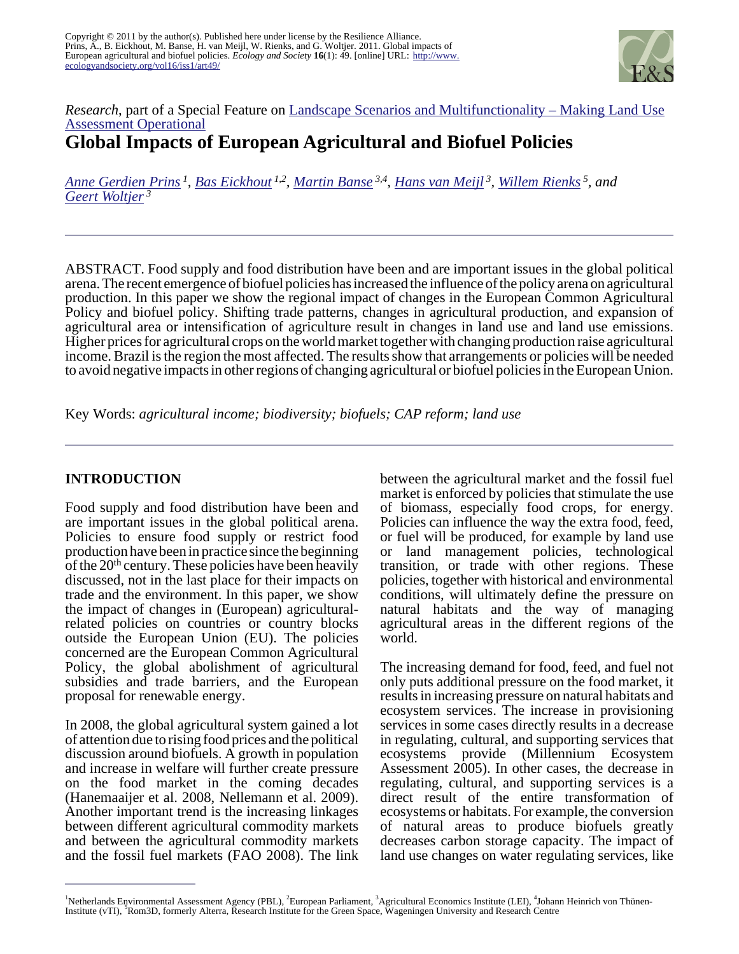

## *Research*, part of a Special Feature on [Landscape Scenarios and Multifunctionality – Making Land Use](http://www.ecologyandsociety.org/viewissue.php?sf=45) [Assessment Operational](http://www.ecologyandsociety.org/viewissue.php?sf=45) **Global Impacts of European Agricultural and Biofuel Policies**

*[Anne Gerdien Prins](mailto:Annegerdien.Prins@pbl.nl)<sup>1</sup> , [Bas Eickhout](mailto:Bas.Eickhout@pbl.nl) 1,2 , [Martin Banse](mailto:Martin.Banse@wur.nl) 3,4 , [Hans van Meijl](mailto:Hans.vanMeijl@wur.nl)<sup>3</sup> , [Willem Rienks](mailto:Willem.Rienks@wur.nl)<sup>5</sup>, and [Geert Woltjer](mailto:Geert.Woltjer@wur.nl)<sup>3</sup>*

ABSTRACT. Food supply and food distribution have been and are important issues in the global political arena. The recent emergence of biofuel policies has increased the influence of the policy arena on agricultural production. In this paper we show the regional impact of changes in the European Common Agricultural Policy and biofuel policy. Shifting trade patterns, changes in agricultural production, and expansion of agricultural area or intensification of agriculture result in changes in land use and land use emissions. Higher prices for agricultural crops on the world market together with changing production raise agricultural income. Brazil is the region the most affected. The results show that arrangements or policies will be needed to avoid negative impacts in other regions of changing agricultural or biofuel policies in the European Union.

Key Words: *agricultural income; biodiversity; biofuels; CAP reform; land use* 

# **INTRODUCTION**

Food supply and food distribution have been and are important issues in the global political arena. Policies to ensure food supply or restrict food production have been in practice since the beginning of the  $20<sup>th</sup>$  century. These policies have been heavily discussed, not in the last place for their impacts on trade and the environment. In this paper, we show the impact of changes in (European) agriculturalrelated policies on countries or country blocks outside the European Union (EU). The policies concerned are the European Common Agricultural Policy, the global abolishment of agricultural subsidies and trade barriers, and the European proposal for renewable energy.

In 2008, the global agricultural system gained a lot of attention due to rising food prices and the political discussion around biofuels. A growth in population and increase in welfare will further create pressure on the food market in the coming decades (Hanemaaijer et al. 2008, Nellemann et al. 2009). Another important trend is the increasing linkages between different agricultural commodity markets and between the agricultural commodity markets and the fossil fuel markets (FAO 2008). The link

between the agricultural market and the fossil fuel market is enforced by policies that stimulate the use of biomass, especially food crops, for energy. Policies can influence the way the extra food, feed, or fuel will be produced, for example by land use or land management policies, technological transition, or trade with other regions. These policies, together with historical and environmental conditions, will ultimately define the pressure on natural habitats and the way of managing agricultural areas in the different regions of the world.

The increasing demand for food, feed, and fuel not only puts additional pressure on the food market, it results in increasing pressure on natural habitats and ecosystem services. The increase in provisioning services in some cases directly results in a decrease in regulating, cultural, and supporting services that ecosystems provide (Millennium Ecosystem Assessment 2005). In other cases, the decrease in regulating, cultural, and supporting services is a direct result of the entire transformation of ecosystems or habitats. For example, the conversion of natural areas to produce biofuels greatly decreases carbon storage capacity. The impact of land use changes on water regulating services, like

<sup>&</sup>lt;sup>1</sup>Netherlands Environmental Assessment Agency (PBL), <sup>2</sup>European Parliament, <sup>3</sup>Agricultural Economics Institute (LEI), <sup>4</sup>Johann Heinrich von Thünen-Institute (vTI), <sup>3</sup>Rom3D, formerly Alterra, Research Institute for the Green Space, Wageningen University and Research Centre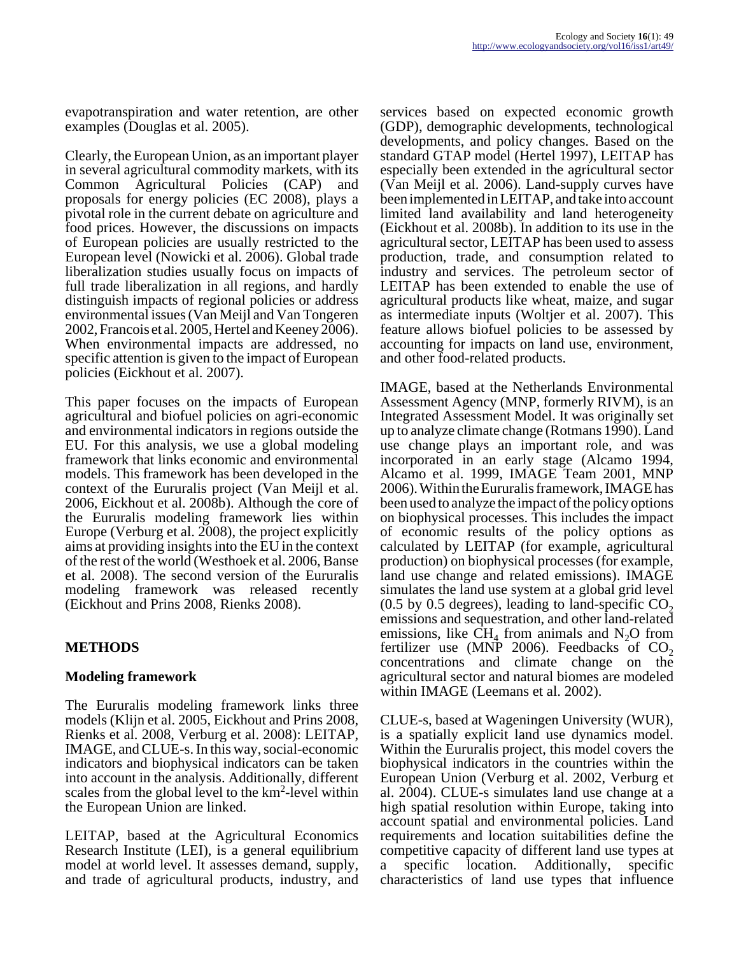evapotranspiration and water retention, are other examples (Douglas et al. 2005).

Clearly, the European Union, as an important player in several agricultural commodity markets, with its Common Agricultural Policies (CAP) and proposals for energy policies (EC 2008), plays a pivotal role in the current debate on agriculture and food prices. However, the discussions on impacts of European policies are usually restricted to the European level (Nowicki et al. 2006). Global trade liberalization studies usually focus on impacts of full trade liberalization in all regions, and hardly distinguish impacts of regional policies or address environmental issues (Van Meijl and Van Tongeren 2002, Francois et al. 2005, Hertel and Keeney 2006). When environmental impacts are addressed, no specific attention is given to the impact of European policies (Eickhout et al. 2007).

This paper focuses on the impacts of European agricultural and biofuel policies on agri-economic and environmental indicators in regions outside the EU. For this analysis, we use a global modeling framework that links economic and environmental models. This framework has been developed in the context of the Eururalis project (Van Meijl et al. 2006, Eickhout et al. 2008b). Although the core of the Eururalis modeling framework lies within Europe (Verburg et al. 2008), the project explicitly aims at providing insights into the EU in the context of the rest of the world (Westhoek et al. 2006, Banse et al. 2008). The second version of the Eururalis modeling framework was released recently (Eickhout and Prins 2008, Rienks 2008).

## **METHODS**

## **Modeling framework**

The Eururalis modeling framework links three models (Klijn et al. 2005, Eickhout and Prins 2008, Rienks et al. 2008, Verburg et al. 2008): LEITAP, IMAGE, and CLUE-s. In this way, social-economic indicators and biophysical indicators can be taken into account in the analysis. Additionally, different scales from the global level to the km<sup>2</sup>-level within the European Union are linked.

LEITAP, based at the Agricultural Economics Research Institute (LEI), is a general equilibrium model at world level. It assesses demand, supply, and trade of agricultural products, industry, and

services based on expected economic growth (GDP), demographic developments, technological developments, and policy changes. Based on the standard GTAP model (Hertel 1997), LEITAP has especially been extended in the agricultural sector (Van Meijl et al. 2006). Land-supply curves have been implemented in LEITAP, and take into account limited land availability and land heterogeneity (Eickhout et al. 2008b). In addition to its use in the agricultural sector, LEITAP has been used to assess production, trade, and consumption related to industry and services. The petroleum sector of LEITAP has been extended to enable the use of agricultural products like wheat, maize, and sugar as intermediate inputs (Woltjer et al. 2007). This feature allows biofuel policies to be assessed by accounting for impacts on land use, environment, and other food-related products.

IMAGE, based at the Netherlands Environmental Assessment Agency (MNP, formerly RIVM), is an Integrated Assessment Model. It was originally set up to analyze climate change (Rotmans 1990). Land use change plays an important role, and was incorporated in an early stage (Alcamo 1994, Alcamo et al. 1999, IMAGE Team 2001, MNP 2006). Within the Eururalis framework, IMAGE has been used to analyze the impact of the policy options on biophysical processes. This includes the impact of economic results of the policy options as calculated by LEITAP (for example, agricultural production) on biophysical processes (for example, land use change and related emissions). IMAGE simulates the land use system at a global grid level  $(0.5 \text{ by } 0.5 \text{ degrees})$ , leading to land-specific CO<sub>2</sub> emissions and sequestration, and other land-related emissions, like  $CH_4$  from animals and N<sub>2</sub>O from fertilizer use (MNP 2006). Feedbacks of  $CO<sub>2</sub>$ concentrations and climate change on the agricultural sector and natural biomes are modeled within IMAGE (Leemans et al. 2002).

CLUE-s, based at Wageningen University (WUR), is a spatially explicit land use dynamics model. Within the Eururalis project, this model covers the biophysical indicators in the countries within the European Union (Verburg et al. 2002, Verburg et al. 2004). CLUE-s simulates land use change at a high spatial resolution within Europe, taking into account spatial and environmental policies. Land requirements and location suitabilities define the competitive capacity of different land use types at a specific location. Additionally, specific characteristics of land use types that influence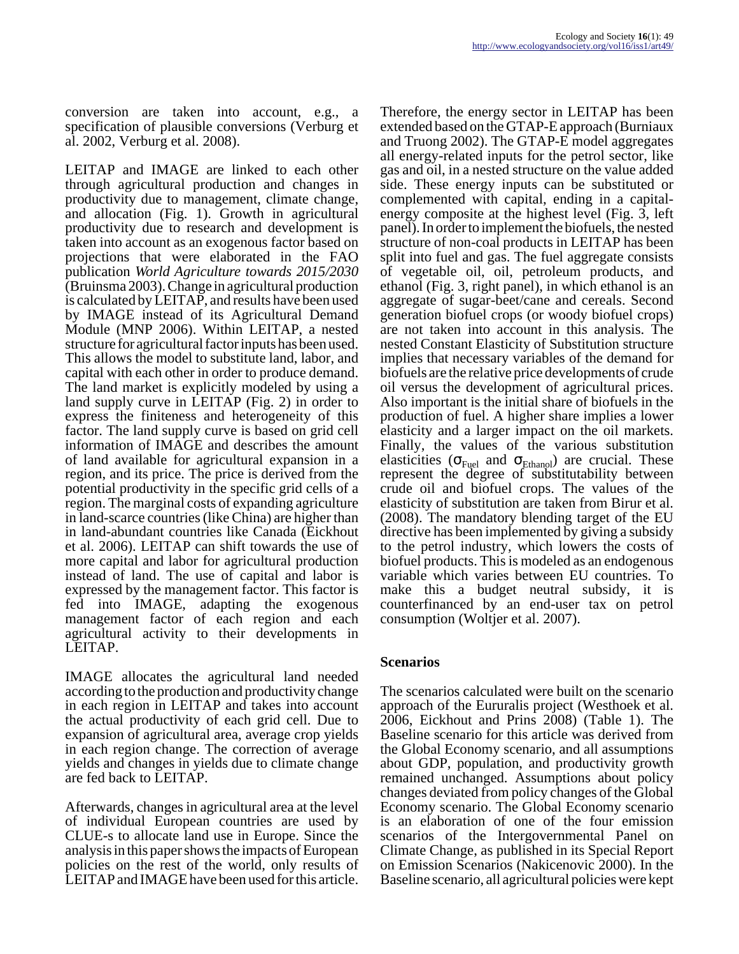conversion are taken into account, e.g., a specification of plausible conversions (Verburg et al. 2002, Verburg et al. 2008).

LEITAP and IMAGE are linked to each other through agricultural production and changes in productivity due to management, climate change, and allocation (Fig. 1). Growth in agricultural productivity due to research and development is taken into account as an exogenous factor based on projections that were elaborated in the FAO publication *World Agriculture towards 2015/2030* (Bruinsma 2003). Change in agricultural production is calculated by LEITAP, and results have been used by IMAGE instead of its Agricultural Demand Module (MNP 2006). Within LEITAP, a nested structure for agricultural factor inputs has been used. This allows the model to substitute land, labor, and capital with each other in order to produce demand. The land market is explicitly modeled by using a land supply curve in LEITAP (Fig. 2) in order to express the finiteness and heterogeneity of this factor. The land supply curve is based on grid cell information of IMAGE and describes the amount of land available for agricultural expansion in a region, and its price. The price is derived from the potential productivity in the specific grid cells of a region. The marginal costs of expanding agriculture in land-scarce countries (like China) are higher than in land-abundant countries like Canada (Eickhout et al. 2006). LEITAP can shift towards the use of more capital and labor for agricultural production instead of land. The use of capital and labor is expressed by the management factor. This factor is fed into IMAGE, adapting the exogenous management factor of each region and each agricultural activity to their developments in LEITAP.

IMAGE allocates the agricultural land needed according to the production and productivity change in each region in LEITAP and takes into account the actual productivity of each grid cell. Due to expansion of agricultural area, average crop yields in each region change. The correction of average yields and changes in yields due to climate change are fed back to LEITAP.

Afterwards, changes in agricultural area at the level of individual European countries are used by CLUE-s to allocate land use in Europe. Since the analysis in this paper shows the impacts of European policies on the rest of the world, only results of LEITAP and IMAGE have been used for this article. Therefore, the energy sector in LEITAP has been extended based on the GTAP-E approach (Burniaux and Truong 2002). The GTAP-E model aggregates all energy-related inputs for the petrol sector, like gas and oil, in a nested structure on the value added side. These energy inputs can be substituted or complemented with capital, ending in a capitalenergy composite at the highest level (Fig. 3, left panel). In order to implement the biofuels, the nested structure of non-coal products in LEITAP has been split into fuel and gas. The fuel aggregate consists of vegetable oil, oil, petroleum products, and ethanol (Fig. 3, right panel), in which ethanol is an aggregate of sugar-beet/cane and cereals. Second generation biofuel crops (or woody biofuel crops) are not taken into account in this analysis. The nested Constant Elasticity of Substitution structure implies that necessary variables of the demand for biofuels are the relative price developments of crude oil versus the development of agricultural prices. Also important is the initial share of biofuels in the production of fuel. A higher share implies a lower elasticity and a larger impact on the oil markets. Finally, the values of the various substitution elasticities ( $\sigma_{\text{Fuel}}$  and  $\sigma_{\text{Ethanol}}$ ) are crucial. These represent the degree of substitutability between crude oil and biofuel crops. The values of the elasticity of substitution are taken from Birur et al. (2008). The mandatory blending target of the EU directive has been implemented by giving a subsidy to the petrol industry, which lowers the costs of biofuel products. This is modeled as an endogenous variable which varies between EU countries. To make this a budget neutral subsidy, it is counterfinanced by an end-user tax on petrol consumption (Woltjer et al. 2007).

#### **Scenarios**

The scenarios calculated were built on the scenario approach of the Eururalis project (Westhoek et al. 2006, Eickhout and Prins 2008) (Table 1). The Baseline scenario for this article was derived from the Global Economy scenario, and all assumptions about GDP, population, and productivity growth remained unchanged. Assumptions about policy changes deviated from policy changes of the Global Economy scenario. The Global Economy scenario is an elaboration of one of the four emission scenarios of the Intergovernmental Panel on Climate Change, as published in its Special Report on Emission Scenarios (Nakicenovic 2000). In the Baseline scenario, all agricultural policies were kept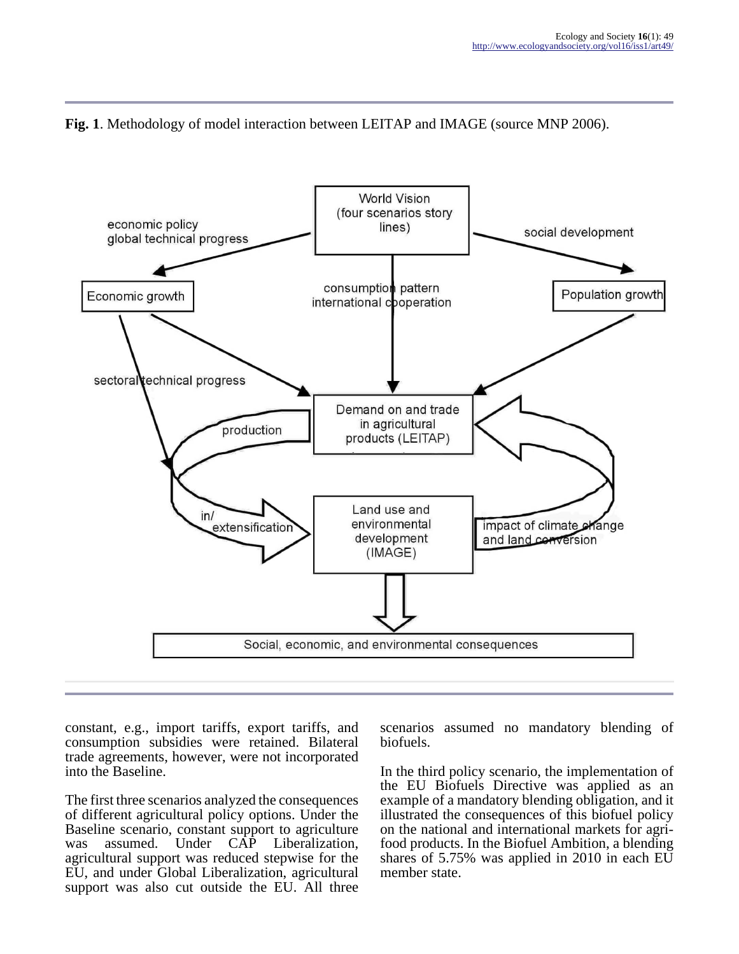



constant, e.g., import tariffs, export tariffs, and consumption subsidies were retained. Bilateral trade agreements, however, were not incorporated into the Baseline.

The first three scenarios analyzed the consequences of different agricultural policy options. Under the Baseline scenario, constant support to agriculture<br>was assumed. Under CAP Liberalization. was assumed. Under CAP Liberalization, agricultural support was reduced stepwise for the EU, and under Global Liberalization, agricultural support was also cut outside the EU. All three

scenarios assumed no mandatory blending of biofuels.

In the third policy scenario, the implementation of the EU Biofuels Directive was applied as an example of a mandatory blending obligation, and it illustrated the consequences of this biofuel policy on the national and international markets for agrifood products. In the Biofuel Ambition, a blending shares of 5.75% was applied in 2010 in each EU member state.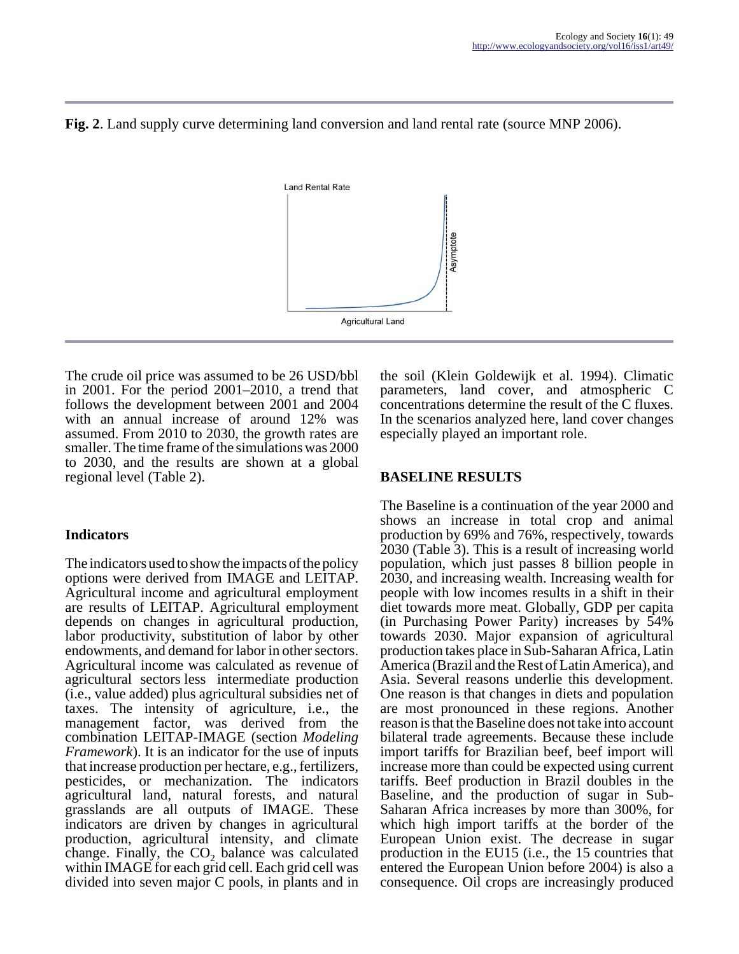

**Fig. 2**. Land supply curve determining land conversion and land rental rate (source MNP 2006).

The crude oil price was assumed to be 26 USD/bbl in 2001. For the period 2001–2010, a trend that follows the development between 2001 and 2004 with an annual increase of around 12% was assumed. From 2010 to 2030, the growth rates are smaller. The time frame of the simulations was 2000 to 2030, and the results are shown at a global regional level (Table 2).

## **Indicators**

The indicators used to show the impacts of the policy options were derived from IMAGE and LEITAP. Agricultural income and agricultural employment are results of LEITAP. Agricultural employment depends on changes in agricultural production, labor productivity, substitution of labor by other endowments, and demand for labor in other sectors. Agricultural income was calculated as revenue of agricultural sectors less intermediate production (i.e., value added) plus agricultural subsidies net of taxes. The intensity of agriculture, i.e., the management factor, was derived from the combination LEITAP-IMAGE (section *Modeling Framework*). It is an indicator for the use of inputs that increase production per hectare, e.g., fertilizers, pesticides, or mechanization. The indicators agricultural land, natural forests, and natural grasslands are all outputs of IMAGE. These indicators are driven by changes in agricultural production, agricultural intensity, and climate change. Finally, the  $CO<sub>2</sub>$  balance was calculated within IMAGE for each grid cell. Each grid cell was divided into seven major C pools, in plants and in

the soil (Klein Goldewijk et al. 1994). Climatic parameters, land cover, and atmospheric C concentrations determine the result of the C fluxes. In the scenarios analyzed here, land cover changes especially played an important role.

# **BASELINE RESULTS**

The Baseline is a continuation of the year 2000 and shows an increase in total crop and animal production by 69% and 76%, respectively, towards 2030 (Table 3). This is a result of increasing world population, which just passes 8 billion people in 2030, and increasing wealth. Increasing wealth for people with low incomes results in a shift in their diet towards more meat. Globally, GDP per capita (in Purchasing Power Parity) increases by 54% towards 2030. Major expansion of agricultural production takes place in Sub-Saharan Africa, Latin America (Brazil and the Rest of Latin America), and Asia. Several reasons underlie this development. One reason is that changes in diets and population are most pronounced in these regions. Another reason is that the Baseline does not take into account bilateral trade agreements. Because these include import tariffs for Brazilian beef, beef import will increase more than could be expected using current tariffs. Beef production in Brazil doubles in the Baseline, and the production of sugar in Sub-Saharan Africa increases by more than 300%, for which high import tariffs at the border of the European Union exist. The decrease in sugar production in the EU15 (i.e., the 15 countries that entered the European Union before 2004) is also a consequence. Oil crops are increasingly produced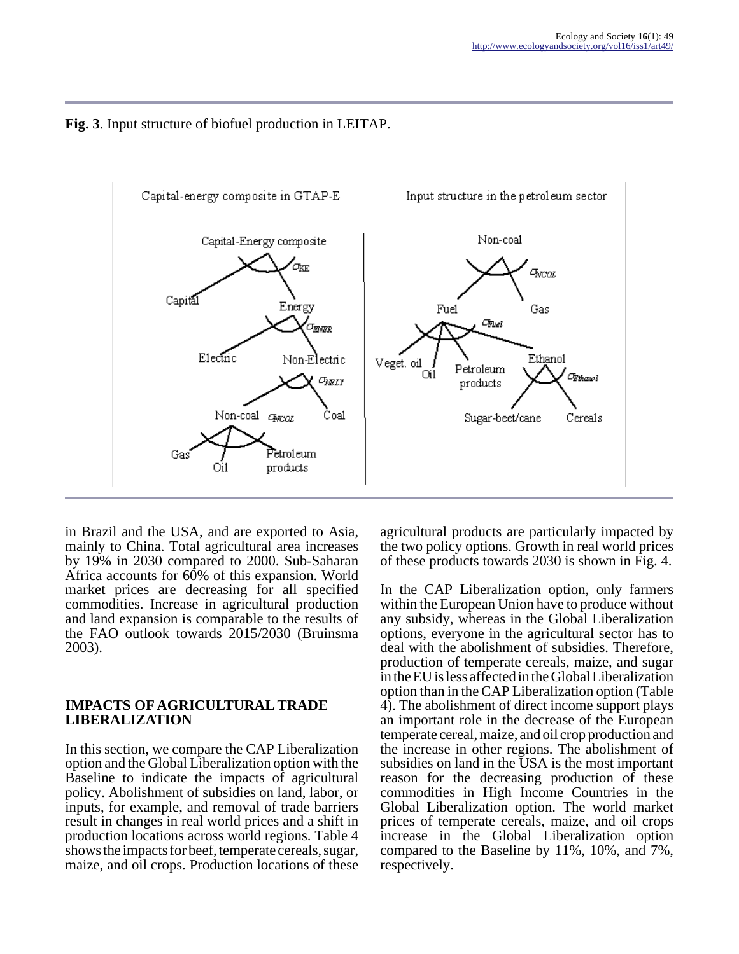## **Fig. 3**. Input structure of biofuel production in LEITAP.



in Brazil and the USA, and are exported to Asia, mainly to China. Total agricultural area increases by 19% in 2030 compared to 2000. Sub-Saharan Africa accounts for 60% of this expansion. World market prices are decreasing for all specified commodities. Increase in agricultural production and land expansion is comparable to the results of the FAO outlook towards 2015/2030 (Bruinsma 2003).

## **IMPACTS OF AGRICULTURAL TRADE LIBERALIZATION**

In this section, we compare the CAP Liberalization option and the Global Liberalization option with the Baseline to indicate the impacts of agricultural policy. Abolishment of subsidies on land, labor, or inputs, for example, and removal of trade barriers result in changes in real world prices and a shift in production locations across world regions. Table 4 shows the impacts for beef, temperate cereals, sugar, maize, and oil crops. Production locations of these

agricultural products are particularly impacted by the two policy options. Growth in real world prices of these products towards 2030 is shown in Fig. 4.

In the CAP Liberalization option, only farmers within the European Union have to produce without any subsidy, whereas in the Global Liberalization options, everyone in the agricultural sector has to deal with the abolishment of subsidies. Therefore, production of temperate cereals, maize, and sugar in the EU is less affected in the Global Liberalization option than in the CAP Liberalization option (Table 4). The abolishment of direct income support plays an important role in the decrease of the European temperate cereal, maize, and oil crop production and the increase in other regions. The abolishment of subsidies on land in the USA is the most important reason for the decreasing production of these commodities in High Income Countries in the Global Liberalization option. The world market prices of temperate cereals, maize, and oil crops increase in the Global Liberalization option compared to the Baseline by 11%, 10%, and 7%, respectively.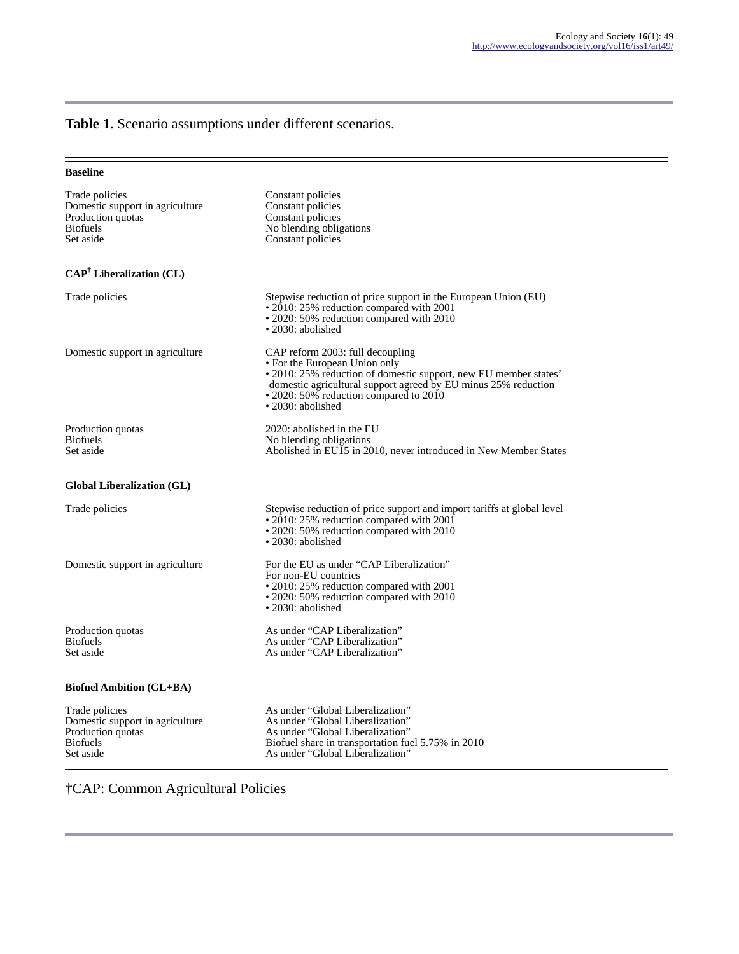# **Table 1.** Scenario assumptions under different scenarios.

| <b>Baseline</b>                                                                                        |                                                                                                                                                                                                                                                                        |
|--------------------------------------------------------------------------------------------------------|------------------------------------------------------------------------------------------------------------------------------------------------------------------------------------------------------------------------------------------------------------------------|
| Trade policies<br>Domestic support in agriculture<br>Production quotas<br><b>Biofuels</b><br>Set aside | Constant policies<br>Constant policies<br>Constant policies<br>No blending obligations<br>Constant policies                                                                                                                                                            |
| $CAP^{\dagger}$ Liberalization (CL)                                                                    |                                                                                                                                                                                                                                                                        |
| Trade policies                                                                                         | Stepwise reduction of price support in the European Union (EU)<br>• 2010: 25% reduction compared with 2001<br>• 2020: 50% reduction compared with 2010<br>• 2030: abolished                                                                                            |
| Domestic support in agriculture                                                                        | CAP reform 2003: full decoupling<br>• For the European Union only<br>· 2010: 25% reduction of domestic support, new EU member states'<br>domestic agricultural support agreed by EU minus 25% reduction<br>• 2020: 50% reduction compared to 2010<br>• 2030: abolished |
| Production quotas<br><b>Biofuels</b><br>Set aside                                                      | 2020: abolished in the EU<br>No blending obligations<br>Abolished in EU15 in 2010, never introduced in New Member States                                                                                                                                               |
| <b>Global Liberalization (GL)</b>                                                                      |                                                                                                                                                                                                                                                                        |
| Trade policies                                                                                         | Stepwise reduction of price support and import tariffs at global level<br>• 2010: 25% reduction compared with 2001<br>• 2020: 50% reduction compared with 2010<br>• 2030: abolished                                                                                    |
| Domestic support in agriculture                                                                        | For the EU as under "CAP Liberalization"<br>For non-EU countries<br>• 2010: 25% reduction compared with 2001<br>• 2020: 50% reduction compared with 2010<br>• 2030: abolished                                                                                          |
| Production quotas<br><b>Biofuels</b><br>Set aside                                                      | As under "CAP Liberalization"<br>As under "CAP Liberalization"<br>As under "CAP Liberalization"                                                                                                                                                                        |
| <b>Biofuel Ambition (GL+BA)</b>                                                                        |                                                                                                                                                                                                                                                                        |
| Trade policies<br>Domestic support in agriculture<br>Production quotas<br><b>Biofuels</b><br>Set aside | As under "Global Liberalization"<br>As under "Global Liberalization"<br>As under "Global Liberalization"<br>Biofuel share in transportation fuel 5.75% in 2010<br>As under "Global Liberalization"                                                                     |

†CAP: Common Agricultural Policies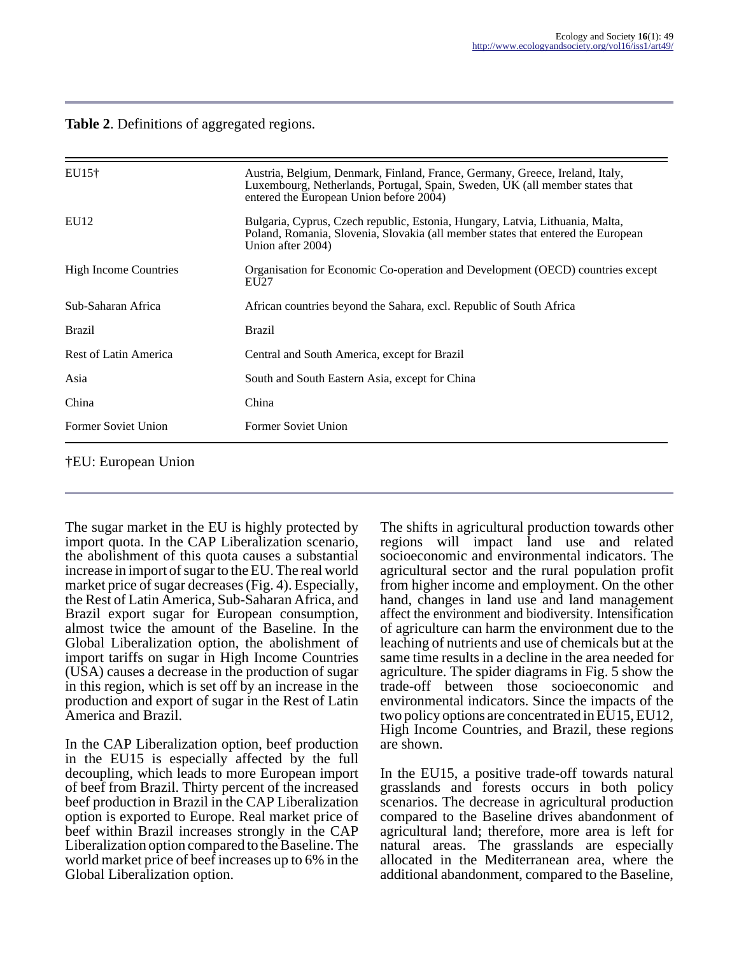| $EU15\dagger$                | Austria, Belgium, Denmark, Finland, France, Germany, Greece, Ireland, Italy,<br>Luxembourg, Netherlands, Portugal, Spain, Sweden, UK (all member states that<br>entered the European Union before 2004) |
|------------------------------|---------------------------------------------------------------------------------------------------------------------------------------------------------------------------------------------------------|
| EU12                         | Bulgaria, Cyprus, Czech republic, Estonia, Hungary, Latvia, Lithuania, Malta,<br>Poland, Romania, Slovenia, Slovakia (all member states that entered the European<br>Union after 2004)                  |
| <b>High Income Countries</b> | Organisation for Economic Co-operation and Development (OECD) countries except<br>EU27                                                                                                                  |
| Sub-Saharan Africa           | African countries beyond the Sahara, excl. Republic of South Africa                                                                                                                                     |
| <b>Brazil</b>                | Brazil                                                                                                                                                                                                  |
| <b>Rest of Latin America</b> | Central and South America, except for Brazil                                                                                                                                                            |
| Asia                         | South and South Eastern Asia, except for China                                                                                                                                                          |
| China                        | China                                                                                                                                                                                                   |
| <b>Former Soviet Union</b>   | <b>Former Soviet Union</b>                                                                                                                                                                              |
| †EU: European Union          |                                                                                                                                                                                                         |

The sugar market in the EU is highly protected by import quota. In the CAP Liberalization scenario, the abolishment of this quota causes a substantial increase in import of sugar to the EU. The real world market price of sugar decreases (Fig. 4). Especially, the Rest of Latin America, Sub-Saharan Africa, and Brazil export sugar for European consumption, almost twice the amount of the Baseline. In the Global Liberalization option, the abolishment of import tariffs on sugar in High Income Countries (USA) causes a decrease in the production of sugar in this region, which is set off by an increase in the production and export of sugar in the Rest of Latin America and Brazil.

In the CAP Liberalization option, beef production in the EU15 is especially affected by the full decoupling, which leads to more European import of beef from Brazil. Thirty percent of the increased beef production in Brazil in the CAP Liberalization option is exported to Europe. Real market price of beef within Brazil increases strongly in the CAP Liberalization option compared to the Baseline. The world market price of beef increases up to 6% in the Global Liberalization option.

The shifts in agricultural production towards other regions will impact land use and related socioeconomic and environmental indicators. The agricultural sector and the rural population profit from higher income and employment. On the other hand, changes in land use and land management affect the environment and biodiversity. Intensification of agriculture can harm the environment due to the leaching of nutrients and use of chemicals but at the same time results in a decline in the area needed for agriculture. The spider diagrams in Fig. 5 show the trade-off between those socioeconomic and environmental indicators. Since the impacts of the two policy options are concentrated in EU15, EU12, High Income Countries, and Brazil, these regions are shown.

In the EU15, a positive trade-off towards natural grasslands and forests occurs in both policy scenarios. The decrease in agricultural production compared to the Baseline drives abandonment of agricultural land; therefore, more area is left for natural areas. The grasslands are especially allocated in the Mediterranean area, where the additional abandonment, compared to the Baseline,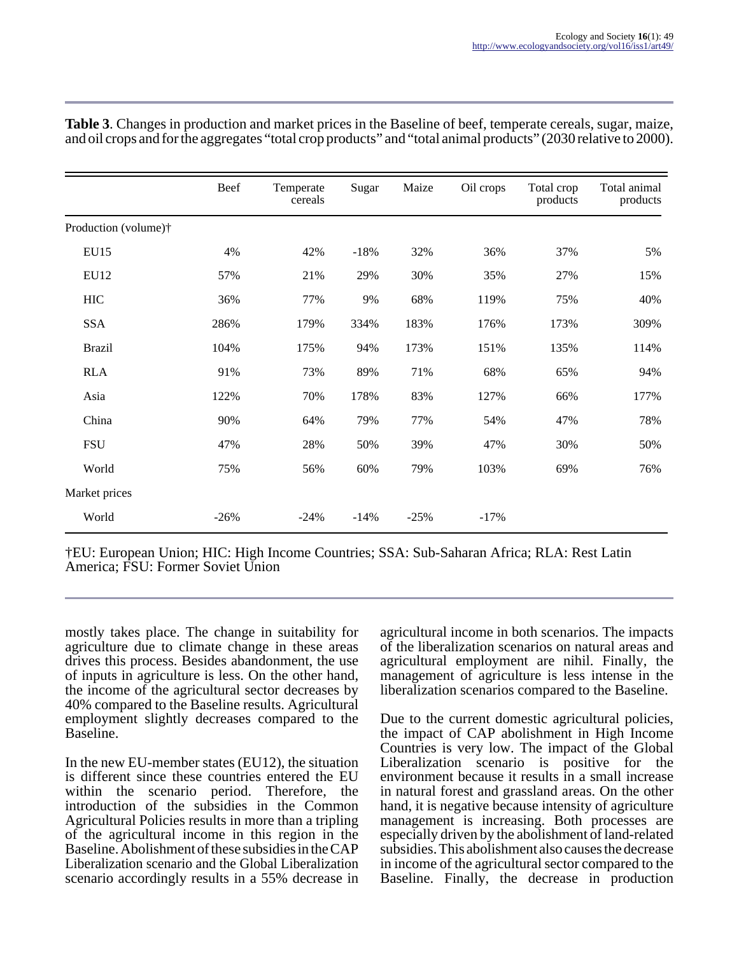|                                  | Beef   | Temperate<br>cereals | Sugar  | Maize  | Oil crops | Total crop<br>products | Total animal<br>products |
|----------------------------------|--------|----------------------|--------|--------|-----------|------------------------|--------------------------|
| Production (volume) <sup>†</sup> |        |                      |        |        |           |                        |                          |
| <b>EU15</b>                      | 4%     | 42%                  | $-18%$ | 32%    | 36%       | 37%                    | 5%                       |
| EU12                             | 57%    | 21%                  | 29%    | 30%    | 35%       | 27%                    | 15%                      |
| <b>HIC</b>                       | 36%    | 77%                  | 9%     | 68%    | 119%      | 75%                    | 40%                      |
| SSA                              | 286%   | 179%                 | 334%   | 183%   | 176%      | 173%                   | 309%                     |
| <b>Brazil</b>                    | 104%   | 175%                 | 94%    | 173%   | 151%      | 135%                   | 114%                     |
| <b>RLA</b>                       | 91%    | 73%                  | 89%    | 71%    | 68%       | 65%                    | 94%                      |
| Asia                             | 122%   | 70%                  | 178%   | 83%    | 127%      | 66%                    | 177%                     |
| China                            | 90%    | 64%                  | 79%    | 77%    | 54%       | 47%                    | 78%                      |
| <b>FSU</b>                       | 47%    | 28%                  | 50%    | 39%    | 47%       | 30%                    | 50%                      |
| World                            | 75%    | 56%                  | 60%    | 79%    | 103%      | 69%                    | 76%                      |
| Market prices                    |        |                      |        |        |           |                        |                          |
| World                            | $-26%$ | $-24%$               | $-14%$ | $-25%$ | $-17%$    |                        |                          |

**Table 3**. Changes in production and market prices in the Baseline of beef, temperate cereals, sugar, maize, and oil crops and for the aggregates "total crop products" and "total animal products" (2030 relative to 2000).

†EU: European Union; HIC: High Income Countries; SSA: Sub-Saharan Africa; RLA: Rest Latin America; FSU: Former Soviet Union

mostly takes place. The change in suitability for agriculture due to climate change in these areas drives this process. Besides abandonment, the use of inputs in agriculture is less. On the other hand, the income of the agricultural sector decreases by 40% compared to the Baseline results. Agricultural employment slightly decreases compared to the Baseline.

In the new EU-member states (EU12), the situation is different since these countries entered the EU within the scenario period. Therefore, the introduction of the subsidies in the Common Agricultural Policies results in more than a tripling of the agricultural income in this region in the Baseline. Abolishment of these subsidies in the CAP Liberalization scenario and the Global Liberalization scenario accordingly results in a 55% decrease in

agricultural income in both scenarios. The impacts of the liberalization scenarios on natural areas and agricultural employment are nihil. Finally, the management of agriculture is less intense in the liberalization scenarios compared to the Baseline.

Due to the current domestic agricultural policies, the impact of CAP abolishment in High Income Countries is very low. The impact of the Global Liberalization scenario is positive for the environment because it results in a small increase in natural forest and grassland areas. On the other hand, it is negative because intensity of agriculture management is increasing. Both processes are especially driven by the abolishment of land-related subsidies. This abolishment also causes the decrease in income of the agricultural sector compared to the Baseline. Finally, the decrease in production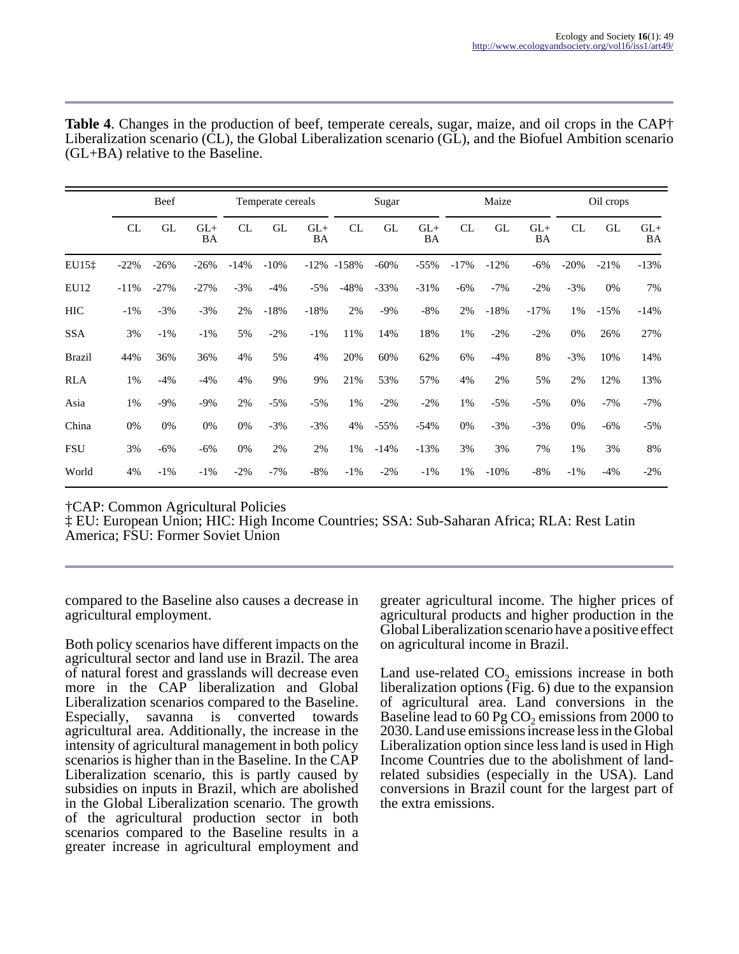|               | Beef    |           |             | Temperate cereals |        |             | Sugar          |        |             | Maize  |        |             | Oil crops |        |                    |
|---------------|---------|-----------|-------------|-------------------|--------|-------------|----------------|--------|-------------|--------|--------|-------------|-----------|--------|--------------------|
|               | CL      | <b>GL</b> | $GL+$<br>BA | CL                | GL     | $GL+$<br>BA | CL             | GL     | $GL+$<br>BA | CL     | GL     | $GL+$<br>BA | CL        | GL     | $GL+$<br><b>BA</b> |
| EU15‡         | $-22%$  | $-26%$    | $-26%$      | $-14%$            | $-10%$ |             | $-12\% -158\%$ | $-60%$ | $-55%$      | $-17%$ | $-12%$ | $-6\%$      | $-20%$    | $-21%$ | $-13%$             |
| EU12          | $-11\%$ | $-27%$    | $-27%$      | $-3%$             | $-4%$  | $-5%$       | $-48%$         | $-33%$ | $-31%$      | $-6\%$ | $-7%$  | $-2\%$      | $-3%$     | 0%     | 7%                 |
| <b>HIC</b>    | $-1\%$  | $-3%$     | $-3%$       | 2%                | $-18%$ | $-18%$      | 2%             | $-9%$  | $-8%$       | 2%     | $-18%$ | $-17%$      | 1%        | $-15%$ | $-14%$             |
| <b>SSA</b>    | 3%      | $-1\%$    | $-1\%$      | 5%                | $-2%$  | $-1\%$      | 11%            | 14%    | 18%         | 1%     | $-2%$  | $-2\%$      | 0%        | 26%    | 27%                |
| <b>Brazil</b> | 44%     | 36%       | 36%         | 4%                | 5%     | 4%          | 20%            | 60%    | 62%         | 6%     | $-4%$  | 8%          | $-3%$     | 10%    | 14%                |
| <b>RLA</b>    | 1%      | $-4%$     | $-4%$       | 4%                | 9%     | 9%          | 21%            | 53%    | 57%         | 4%     | 2%     | 5%          | 2%        | 12%    | 13%                |
| Asia          | 1%      | $-9%$     | $-9%$       | 2%                | $-5%$  | $-5%$       | 1%             | $-2\%$ | $-2%$       | 1%     | $-5%$  | $-5%$       | 0%        | $-7%$  | $-7\%$             |
| China         | 0%      | 0%        | 0%          | 0%                | $-3%$  | $-3%$       | 4%             | $-55%$ | $-54%$      | 0%     | $-3%$  | $-3%$       | 0%        | $-6%$  | $-5%$              |
| <b>FSU</b>    | 3%      | $-6\%$    | $-6%$       | $0\%$             | 2%     | 2%          | 1%             | $-14%$ | $-13%$      | 3%     | 3%     | 7%          | 1%        | 3%     | 8%                 |
| World         | 4%      | $-1\%$    | $-1\%$      | $-2\%$            | $-7%$  | $-8%$       | $-1\%$         | $-2\%$ | $-1\%$      | 1%     | $-10%$ | -8%         | $-1\%$    | $-4%$  | $-2\%$             |

| <b>Table 4.</b> Changes in the production of beef, temperate cereals, sugar, maize, and oil crops in the CAP <sup>†</sup> |  |  |
|---------------------------------------------------------------------------------------------------------------------------|--|--|
| Liberalization scenario (CL), the Global Liberalization scenario (GL), and the Biofuel Ambition scenario                  |  |  |
| $(GL+BA)$ relative to the Baseline.                                                                                       |  |  |

†CAP: Common Agricultural Policies

‡ EU: European Union; HIC: High Income Countries; SSA: Sub-Saharan Africa; RLA: Rest Latin America; FSU: Former Soviet Union

compared to the Baseline also causes a decrease in agricultural employment.

Both policy scenarios have different impacts on the agricultural sector and land use in Brazil. The area of natural forest and grasslands will decrease even more in the CAP liberalization and Global Liberalization scenarios compared to the Baseline. Especially, savanna is converted towards agricultural area. Additionally, the increase in the intensity of agricultural management in both policy scenarios is higher than in the Baseline. In the CAP Liberalization scenario, this is partly caused by subsidies on inputs in Brazil, which are abolished in the Global Liberalization scenario. The growth of the agricultural production sector in both scenarios compared to the Baseline results in a greater increase in agricultural employment and greater agricultural income. The higher prices of agricultural products and higher production in the Global Liberalization scenario have a positive effect on agricultural income in Brazil.

Land use-related  $CO_2$  emissions increase in both liberalization options (Fig. 6) due to the expansion of agricultural area. Land conversions in the Baseline lead to 60 Pg  $CO_2$  emissions from 2000 to 2030. Land use emissions increase less in the Global Liberalization option since less land is used in High Income Countries due to the abolishment of landrelated subsidies (especially in the USA). Land conversions in Brazil count for the largest part of the extra emissions.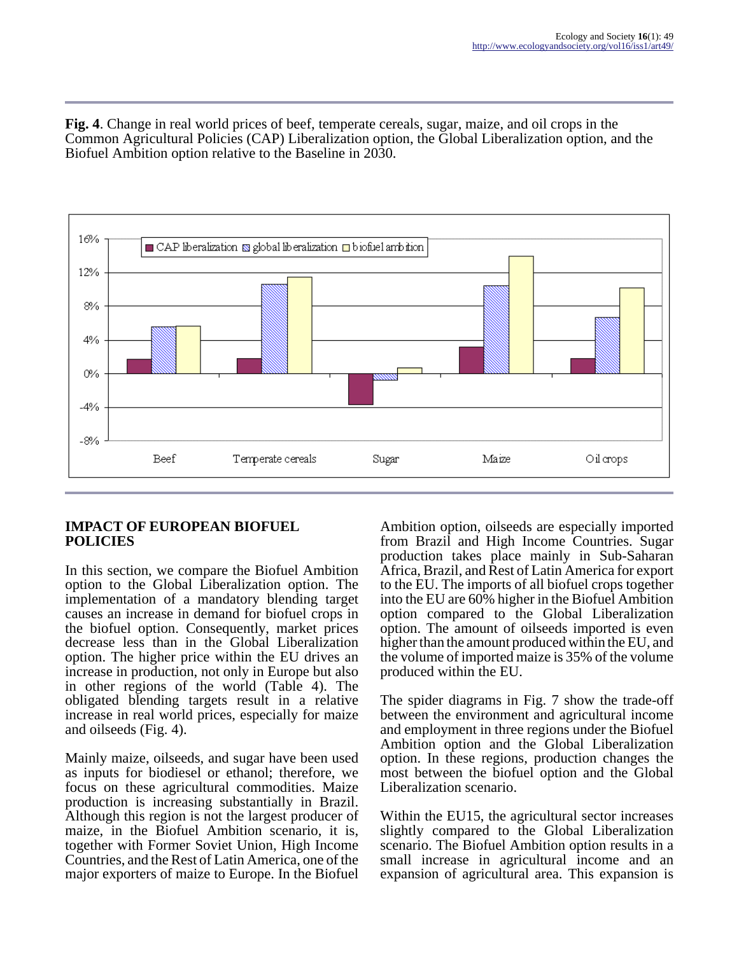**Fig. 4**. Change in real world prices of beef, temperate cereals, sugar, maize, and oil crops in the Common Agricultural Policies (CAP) Liberalization option, the Global Liberalization option, and the Biofuel Ambition option relative to the Baseline in 2030.



## **IMPACT OF EUROPEAN BIOFUEL POLICIES**

In this section, we compare the Biofuel Ambition option to the Global Liberalization option. The implementation of a mandatory blending target causes an increase in demand for biofuel crops in the biofuel option. Consequently, market prices decrease less than in the Global Liberalization option. The higher price within the EU drives an increase in production, not only in Europe but also in other regions of the world (Table 4). The obligated blending targets result in a relative increase in real world prices, especially for maize and oilseeds (Fig. 4).

Mainly maize, oilseeds, and sugar have been used as inputs for biodiesel or ethanol; therefore, we focus on these agricultural commodities. Maize production is increasing substantially in Brazil. Although this region is not the largest producer of maize, in the Biofuel Ambition scenario, it is, together with Former Soviet Union, High Income Countries, and the Rest of Latin America, one of the major exporters of maize to Europe. In the Biofuel

Ambition option, oilseeds are especially imported from Brazil and High Income Countries. Sugar production takes place mainly in Sub-Saharan Africa, Brazil, and Rest of Latin America for export to the EU. The imports of all biofuel crops together into the EU are 60% higher in the Biofuel Ambition option compared to the Global Liberalization option. The amount of oilseeds imported is even higher than the amount produced within the EU, and the volume of imported maize is 35% of the volume produced within the EU.

The spider diagrams in Fig. 7 show the trade-off between the environment and agricultural income and employment in three regions under the Biofuel Ambition option and the Global Liberalization option. In these regions, production changes the most between the biofuel option and the Global Liberalization scenario.

Within the EU15, the agricultural sector increases slightly compared to the Global Liberalization scenario. The Biofuel Ambition option results in a small increase in agricultural income and an expansion of agricultural area. This expansion is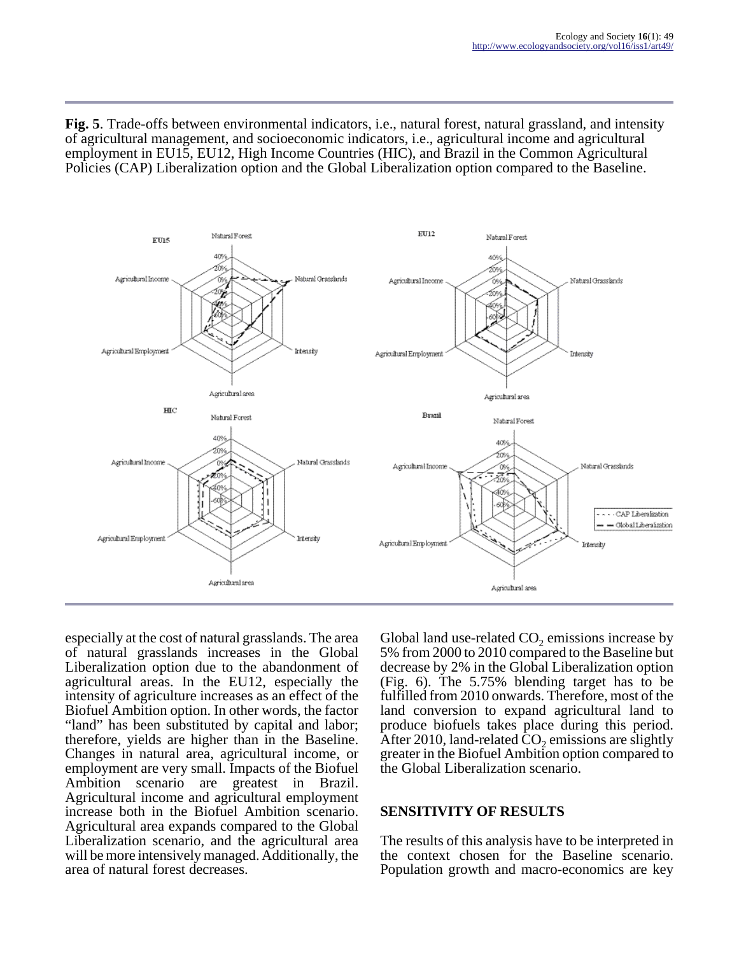**Fig. 5**. Trade-offs between environmental indicators, i.e., natural forest, natural grassland, and intensity of agricultural management, and socioeconomic indicators, i.e., agricultural income and agricultural employment in EU15, EU12, High Income Countries (HIC), and Brazil in the Common Agricultural Policies (CAP) Liberalization option and the Global Liberalization option compared to the Baseline.



especially at the cost of natural grasslands. The area of natural grasslands increases in the Global Liberalization option due to the abandonment of agricultural areas. In the EU12, especially the intensity of agriculture increases as an effect of the Biofuel Ambition option. In other words, the factor "land" has been substituted by capital and labor; therefore, yields are higher than in the Baseline. Changes in natural area, agricultural income, or employment are very small. Impacts of the Biofuel Ambition scenario are greatest in Brazil. Agricultural income and agricultural employment increase both in the Biofuel Ambition scenario. Agricultural area expands compared to the Global Liberalization scenario, and the agricultural area will be more intensively managed. Additionally, the area of natural forest decreases.

Global land use-related  $CO<sub>2</sub>$  emissions increase by 5% from 2000 to 2010 compared to the Baseline but decrease by 2% in the Global Liberalization option (Fig. 6). The 5.75% blending target has to be fulfilled from 2010 onwards. Therefore, most of the land conversion to expand agricultural land to produce biofuels takes place during this period. After 2010, land-related  $CO_2$  emissions are slightly greater in the Biofuel Ambition option compared to the Global Liberalization scenario.

#### **SENSITIVITY OF RESULTS**

The results of this analysis have to be interpreted in the context chosen for the Baseline scenario. Population growth and macro-economics are key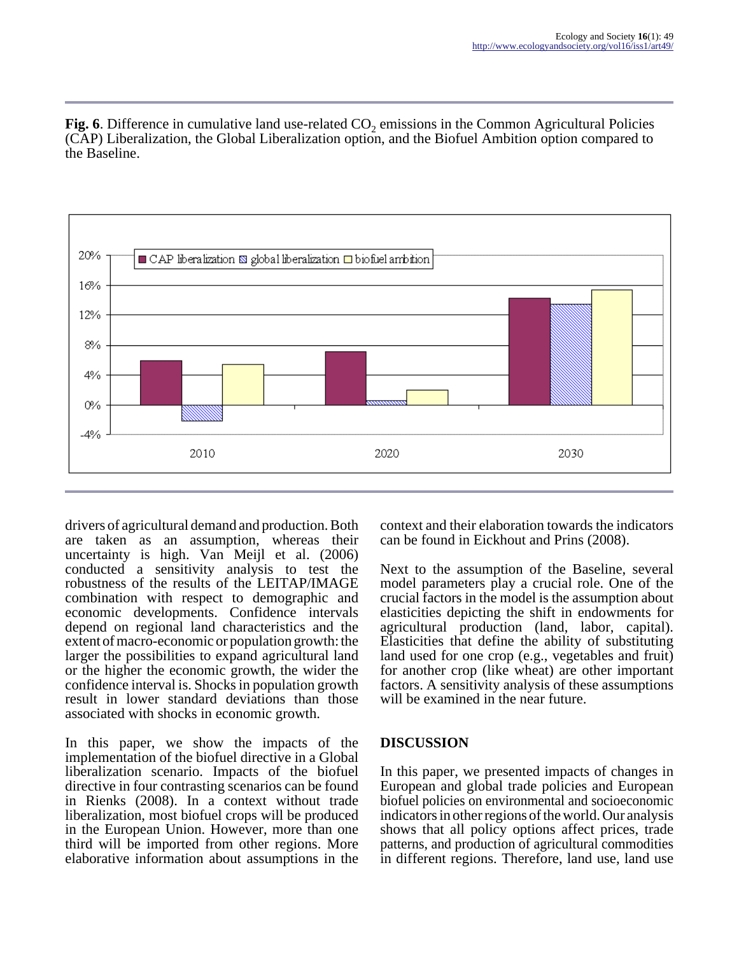

Fig. 6. Difference in cumulative land use-related  $CO_2$  emissions in the Common Agricultural Policies (CAP) Liberalization, the Global Liberalization option, and the Biofuel Ambition option compared to the Baseline.

drivers of agricultural demand and production. Both are taken as an assumption, whereas their uncertainty is high. Van Meijl et al. (2006) conducted a sensitivity analysis to test the robustness of the results of the LEITAP/IMAGE combination with respect to demographic and economic developments. Confidence intervals depend on regional land characteristics and the extent of macro-economic or population growth: the larger the possibilities to expand agricultural land or the higher the economic growth, the wider the confidence interval is. Shocks in population growth result in lower standard deviations than those associated with shocks in economic growth.

In this paper, we show the impacts of the implementation of the biofuel directive in a Global liberalization scenario. Impacts of the biofuel directive in four contrasting scenarios can be found in Rienks (2008). In a context without trade liberalization, most biofuel crops will be produced in the European Union. However, more than one third will be imported from other regions. More elaborative information about assumptions in the

context and their elaboration towards the indicators can be found in Eickhout and Prins (2008).

Next to the assumption of the Baseline, several model parameters play a crucial role. One of the crucial factors in the model is the assumption about elasticities depicting the shift in endowments for agricultural production (land, labor, capital). Elasticities that define the ability of substituting land used for one crop (e.g., vegetables and fruit) for another crop (like wheat) are other important factors. A sensitivity analysis of these assumptions will be examined in the near future.

## **DISCUSSION**

In this paper, we presented impacts of changes in European and global trade policies and European biofuel policies on environmental and socioeconomic indicators in other regions of the world. Our analysis shows that all policy options affect prices, trade patterns, and production of agricultural commodities in different regions. Therefore, land use, land use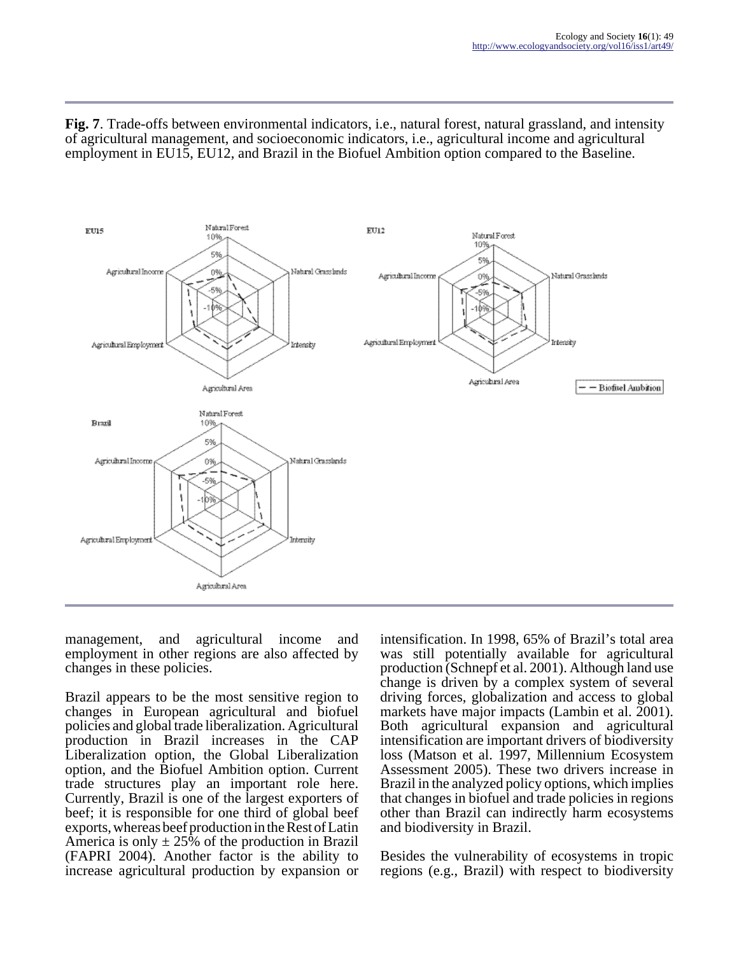**Fig. 7**. Trade-offs between environmental indicators, i.e., natural forest, natural grassland, and intensity of agricultural management, and socioeconomic indicators, i.e., agricultural income and agricultural employment in EU15, EU12, and Brazil in the Biofuel Ambition option compared to the Baseline.



management, and agricultural income and employment in other regions are also affected by changes in these policies.

Brazil appears to be the most sensitive region to changes in European agricultural and biofuel policies and global trade liberalization. Agricultural production in Brazil increases in the CAP Liberalization option, the Global Liberalization option, and the Biofuel Ambition option. Current trade structures play an important role here. Currently, Brazil is one of the largest exporters of beef; it is responsible for one third of global beef exports, whereas beef production in the Rest of Latin America is only  $\pm 25\%$  of the production in Brazil (FAPRI 2004). Another factor is the ability to increase agricultural production by expansion or

intensification. In 1998, 65% of Brazil's total area was still potentially available for agricultural production (Schnepf et al. 2001). Although land use change is driven by a complex system of several driving forces, globalization and access to global markets have major impacts (Lambin et al. 2001). Both agricultural expansion and agricultural intensification are important drivers of biodiversity loss (Matson et al. 1997, Millennium Ecosystem Assessment 2005). These two drivers increase in Brazil in the analyzed policy options, which implies that changes in biofuel and trade policies in regions other than Brazil can indirectly harm ecosystems and biodiversity in Brazil.

Besides the vulnerability of ecosystems in tropic regions (e.g., Brazil) with respect to biodiversity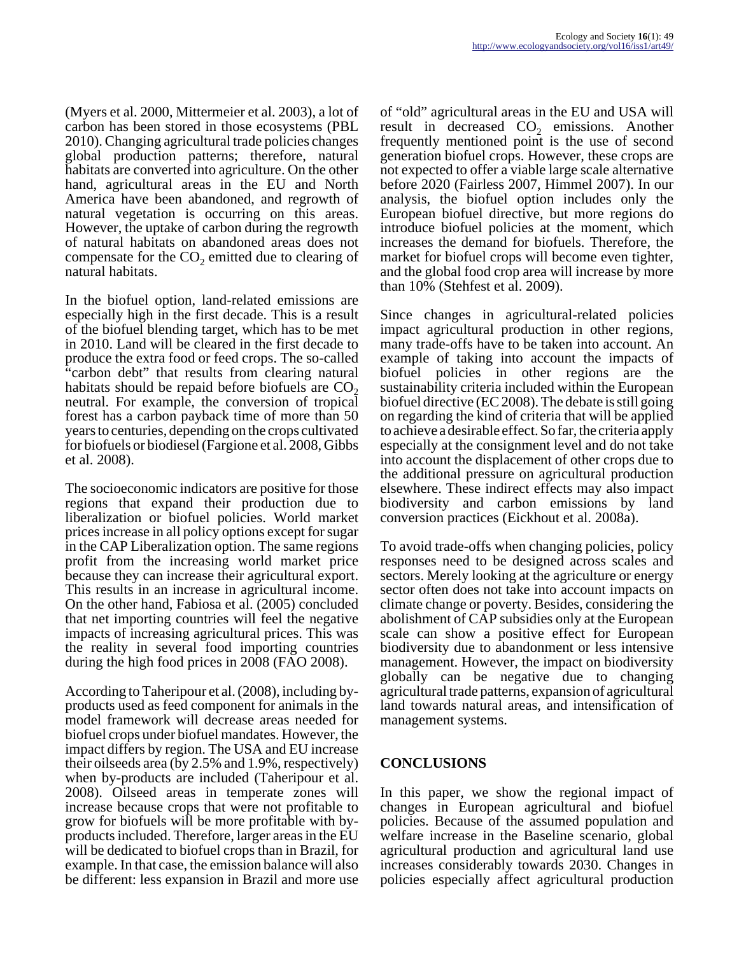(Myers et al. 2000, Mittermeier et al. 2003), a lot of carbon has been stored in those ecosystems (PBL 2010). Changing agricultural trade policies changes global production patterns; therefore, natural habitats are converted into agriculture. On the other hand, agricultural areas in the EU and North America have been abandoned, and regrowth of natural vegetation is occurring on this areas. However, the uptake of carbon during the regrowth of natural habitats on abandoned areas does not compensate for the  $CO<sub>2</sub>$  emitted due to clearing of natural habitats.

In the biofuel option, land-related emissions are especially high in the first decade. This is a result of the biofuel blending target, which has to be met in 2010. Land will be cleared in the first decade to produce the extra food or feed crops. The so-called "carbon debt" that results from clearing natural habitats should be repaid before biofuels are  $CO<sub>2</sub>$ neutral. For example, the conversion of tropical forest has a carbon payback time of more than 50 years to centuries, depending on the crops cultivated for biofuels or biodiesel (Fargione et al. 2008, Gibbs et al. 2008).

The socioeconomic indicators are positive for those regions that expand their production due to liberalization or biofuel policies. World market prices increase in all policy options except for sugar in the CAP Liberalization option. The same regions profit from the increasing world market price because they can increase their agricultural export. This results in an increase in agricultural income. On the other hand, Fabiosa et al. (2005) concluded that net importing countries will feel the negative impacts of increasing agricultural prices. This was the reality in several food importing countries during the high food prices in 2008 (FAO 2008).

According to Taheripour et al. (2008), including byproducts used as feed component for animals in the model framework will decrease areas needed for biofuel crops under biofuel mandates. However, the impact differs by region. The USA and EU increase their oilseeds area (by 2.5% and 1.9%, respectively) when by-products are included (Taheripour et al. 2008). Oilseed areas in temperate zones will increase because crops that were not profitable to grow for biofuels will be more profitable with byproducts included. Therefore, larger areas in the EU will be dedicated to biofuel crops than in Brazil, for example. In that case, the emission balance will also be different: less expansion in Brazil and more use

of "old" agricultural areas in the EU and USA will result in decreased  $CO<sub>2</sub>$  emissions. Another frequently mentioned point is the use of second generation biofuel crops. However, these crops are not expected to offer a viable large scale alternative before 2020 (Fairless 2007, Himmel 2007). In our analysis, the biofuel option includes only the European biofuel directive, but more regions do introduce biofuel policies at the moment, which increases the demand for biofuels. Therefore, the market for biofuel crops will become even tighter, and the global food crop area will increase by more than 10% (Stehfest et al. 2009).

Since changes in agricultural-related policies impact agricultural production in other regions, many trade-offs have to be taken into account. An example of taking into account the impacts of biofuel policies in other regions are the sustainability criteria included within the European biofuel directive (EC 2008). The debate is still going on regarding the kind of criteria that will be applied to achieve a desirable effect. So far, the criteria apply especially at the consignment level and do not take into account the displacement of other crops due to the additional pressure on agricultural production elsewhere. These indirect effects may also impact biodiversity and carbon emissions by land conversion practices (Eickhout et al. 2008a).

To avoid trade-offs when changing policies, policy responses need to be designed across scales and sectors. Merely looking at the agriculture or energy sector often does not take into account impacts on climate change or poverty. Besides, considering the abolishment of CAP subsidies only at the European scale can show a positive effect for European biodiversity due to abandonment or less intensive management. However, the impact on biodiversity globally can be negative due to changing agricultural trade patterns, expansion of agricultural land towards natural areas, and intensification of management systems.

## **CONCLUSIONS**

In this paper, we show the regional impact of changes in European agricultural and biofuel policies. Because of the assumed population and welfare increase in the Baseline scenario, global agricultural production and agricultural land use increases considerably towards 2030. Changes in policies especially affect agricultural production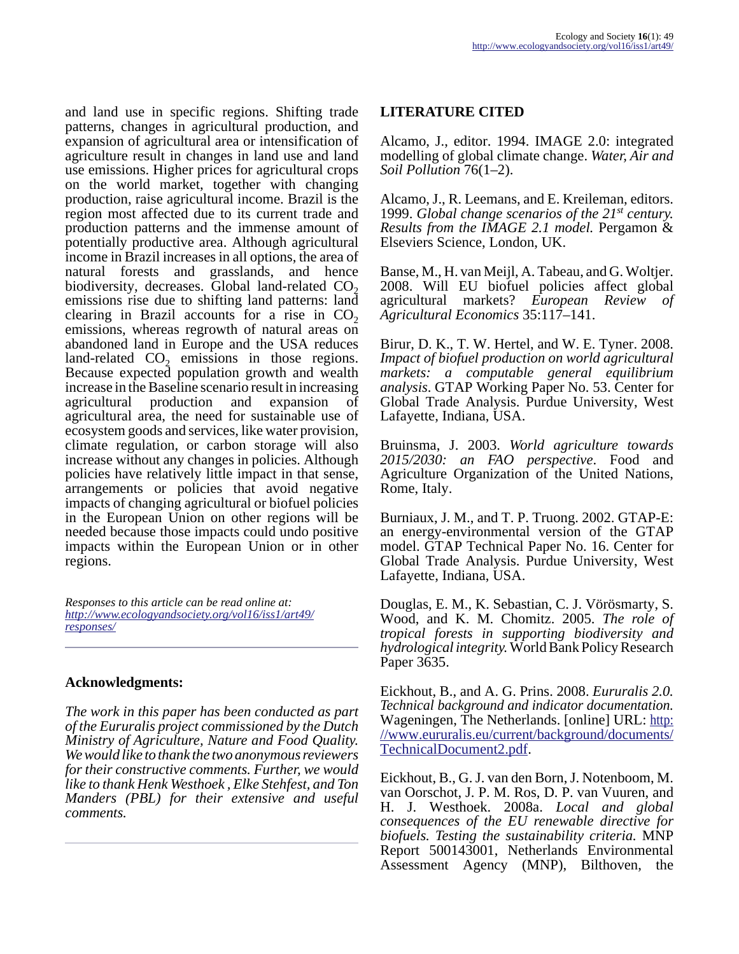and land use in specific regions. Shifting trade patterns, changes in agricultural production, and expansion of agricultural area or intensification of agriculture result in changes in land use and land use emissions. Higher prices for agricultural crops on the world market, together with changing production, raise agricultural income. Brazil is the region most affected due to its current trade and production patterns and the immense amount of potentially productive area. Although agricultural income in Brazil increases in all options, the area of natural forests and grasslands, and hence biodiversity, decreases. Global land-related  $CO<sub>2</sub>$ emissions rise due to shifting land patterns: land clearing in Brazil accounts for a rise in  $CO<sub>2</sub>$ emissions, whereas regrowth of natural areas on abandoned land in Europe and the USA reduces land-related  $CO_2$  emissions in those regions. Because expected population growth and wealth increase in the Baseline scenario result in increasing agricultural production and expansion agricultural area, the need for sustainable use of ecosystem goods and services, like water provision, climate regulation, or carbon storage will also increase without any changes in policies. Although policies have relatively little impact in that sense, arrangements or policies that avoid negative impacts of changing agricultural or biofuel policies in the European Union on other regions will be needed because those impacts could undo positive impacts within the European Union or in other regions.

*Responses to this article can be read online at: [http://www](http://www.ecologyandsociety.org/vol16/iss1/art49/responses/).ecologyandsociety.org/vol16/iss1/art49/ responses/*

## **Acknowledgments:**

*The work in this paper has been conducted as part of the Eururalis project commissioned by the Dutch Ministry of Agriculture, Nature and Food Quality. We would like to thank the two anonymous reviewers for their constructive comments. Further, we would like to thank Henk Westhoek , Elke Stehfest, and Ton Manders (PBL) for their extensive and useful comments.* 

## **LITERATURE CITED**

Alcamo, J., editor. 1994. IMAGE 2.0: integrated modelling of global climate change. *Water, Air and Soil Pollution* 76(1–2).

Alcamo, J., R. Leemans, and E. Kreileman, editors. 1999. *Global change scenarios of the 21st century. Results from the IMAGE 2.1 model.* Pergamon & Elseviers Science, London, UK.

Banse, M., H. van Meijl, A. Tabeau, and G. Woltjer. 2008. Will EU biofuel policies affect global agricultural markets? *European Review of Agricultural Economics* 35:117–141.

Birur, D. K., T. W. Hertel, and W. E. Tyner. 2008. *Impact of biofuel production on world agricultural markets: a computable general equilibrium analysis*. GTAP Working Paper No. 53. Center for Global Trade Analysis. Purdue University, West Lafayette, Indiana, USA.

Bruinsma, J. 2003. *World agriculture towards 2015/2030: an FAO perspective*. Food and Agriculture Organization of the United Nations, Rome, Italy.

Burniaux, J. M., and T. P. Truong. 2002. GTAP-E: an energy-environmental version of the GTAP model. GTAP Technical Paper No. 16. Center for Global Trade Analysis. Purdue University, West Lafayette, Indiana, USA.

Douglas, E. M., K. Sebastian, C. J. Vörösmarty, S. Wood, and K. M. Chomitz. 2005. *The role of tropical forests in supporting biodiversity and hydrological integrity.* World Bank Policy Research Paper 3635.

Eickhout, B., and A. G. Prins. 2008. *Eururalis 2.0. Technical background and indicator documentation.* Wageningen, The Netherlands. [online] URL: [http:](http://www.eururalis.eu/current/background/documents/TechnicalDocument2.pdf) //www.eururalis.eu/current/background/documents/ [TechnicalDocument2.pdf](http://www.eururalis.eu/current/background/documents/TechnicalDocument2.pdf).

Eickhout, B., G. J. van den Born, J. Notenboom, M. van Oorschot, J. P. M. Ros, D. P. van Vuuren, and H. J. Westhoek. 2008a. *Local and global consequences of the EU renewable directive for biofuels. Testing the sustainability criteria.* MNP Report 500143001, Netherlands Environmental Assessment Agency (MNP), Bilthoven, the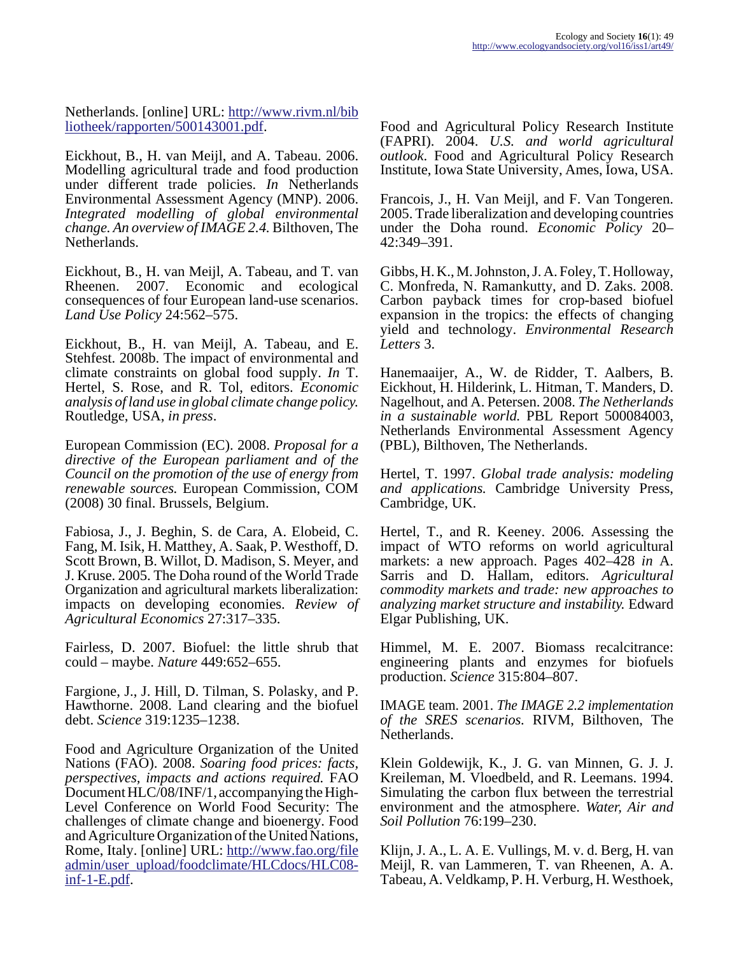Netherlands. [online] URL: [http://www.rivm.nl/bib](http://www.rivm.nl/bibliotheek/rapporten/500143001.pdf) [liotheek/rapporten/500143001.pdf](http://www.rivm.nl/bibliotheek/rapporten/500143001.pdf).

Eickhout, B., H. van Meijl, and A. Tabeau. 2006. Modelling agricultural trade and food production under different trade policies. *In* Netherlands Environmental Assessment Agency (MNP). 2006. *Integrated modelling of global environmental change. An overview of IMAGE 2.4.* Bilthoven, The Netherlands.

Eickhout, B., H. van Meijl, A. Tabeau, and T. van Rheenen. 2007. Economic and ecological consequences of four European land-use scenarios. *Land Use Policy* 24:562–575.

Eickhout, B., H. van Meijl, A. Tabeau, and E. Stehfest. 2008b. The impact of environmental and climate constraints on global food supply. *In* T. Hertel, S. Rose, and R. Tol, editors. *Economic analysis of land use in global climate change policy.* Routledge, USA, *in press*.

European Commission (EC). 2008. *Proposal for a directive of the European parliament and of the Council on the promotion of the use of energy from renewable sources.* European Commission, COM (2008) 30 final. Brussels, Belgium.

Fabiosa, J., J. Beghin, S. de Cara, A. Elobeid, C. Fang, M. Isik, H. Matthey, A. Saak, P. Westhoff, D. Scott Brown, B. Willot, D. Madison, S. Meyer, and J. Kruse. 2005. The Doha round of the World Trade Organization and agricultural markets liberalization: impacts on developing economies. *Review of Agricultural Economics* 27:317–335.

Fairless, D. 2007. Biofuel: the little shrub that could – maybe. *Nature* 449:652–655.

Fargione, J., J. Hill, D. Tilman, S. Polasky, and P. Hawthorne. 2008. Land clearing and the biofuel debt. *Science* 319:1235–1238.

Food and Agriculture Organization of the United Nations (FAO). 2008. *Soaring food prices: facts, perspectives, impacts and actions required.* FAO Document HLC/08/INF/1, accompanying the High-Level Conference on World Food Security: The challenges of climate change and bioenergy. Food and Agriculture Organization of the United Nations, Rome, Italy. [online] URL: [http://www.fao.org/file](http://www.fao.org/fileadmin/user_upload/foodclimate/HLCdocs/HLC08-inf-1-E.pdf) admin/user\_upload/foodclimate/HLCdocs/HLC08 [inf-1-E.pdf.](http://www.fao.org/fileadmin/user_upload/foodclimate/HLCdocs/HLC08-inf-1-E.pdf)

Food and Agricultural Policy Research Institute (FAPRI). 2004. *U.S. and world agricultural outlook*. Food and Agricultural Policy Research Institute, Iowa State University, Ames, Iowa, USA.

Francois, J., H. Van Meijl, and F. Van Tongeren. 2005. Trade liberalization and developing countries under the Doha round. *Economic Policy* 20– 42:349–391.

Gibbs, H. K., M. Johnston, J. A. Foley, T. Holloway, C. Monfreda, N. Ramankutty, and D. Zaks. 2008. Carbon payback times for crop-based biofuel expansion in the tropics: the effects of changing yield and technology. *Environmental Research Letters* 3.

Hanemaaijer, A., W. de Ridder, T. Aalbers, B. Eickhout, H. Hilderink, L. Hitman, T. Manders, D. Nagelhout, and A. Petersen. 2008. *The Netherlands in a sustainable world.* PBL Report 500084003, Netherlands Environmental Assessment Agency (PBL), Bilthoven, The Netherlands.

Hertel, T. 1997. *Global trade analysis: modeling and applications.* Cambridge University Press, Cambridge, UK.

Hertel, T., and R. Keeney. 2006. Assessing the impact of WTO reforms on world agricultural markets: a new approach. Pages 402–428 *in* A. Sarris and D. Hallam, editors. *Agricultural commodity markets and trade: new approaches to analyzing market structure and instability.* Edward Elgar Publishing, UK.

Himmel, M. E. 2007. Biomass recalcitrance: engineering plants and enzymes for biofuels production. *Science* 315:804–807.

IMAGE team. 2001. *The IMAGE 2.2 implementation of the SRES scenarios.* RIVM, Bilthoven, The Netherlands.

Klein Goldewijk, K., J. G. van Minnen, G. J. J. Kreileman, M. Vloedbeld, and R. Leemans. 1994. Simulating the carbon flux between the terrestrial environment and the atmosphere. *Water, Air and Soil Pollution* 76:199–230.

Klijn, J. A., L. A. E. Vullings, M. v. d. Berg, H. van Meijl, R. van Lammeren, T. van Rheenen, A. A. Tabeau, A. Veldkamp, P. H. Verburg, H. Westhoek,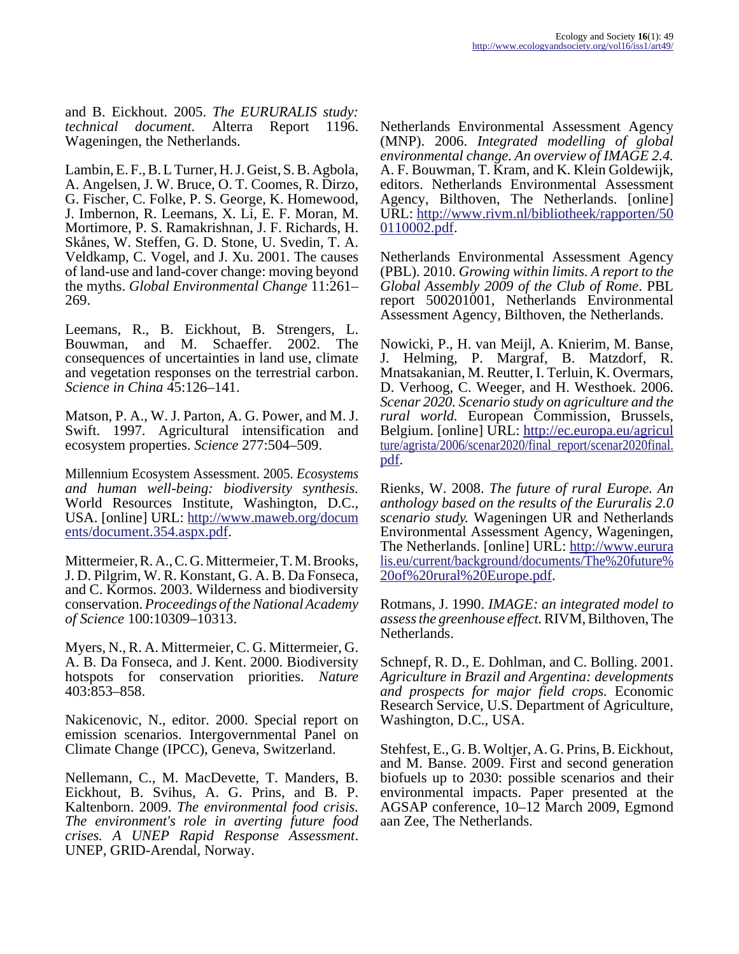and B. Eickhout. 2005. *The EURURALIS study: technical document*. Alterra Report 1196. Wageningen, the Netherlands.

Lambin, E. F., B. L Turner, H. J. Geist, S. B. Agbola, A. Angelsen, J. W. Bruce, O. T. Coomes, R. Dirzo, G. Fischer, C. Folke, P. S. George, K. Homewood, J. Imbernon, R. Leemans, X. Li, E. F. Moran, M. Mortimore, P. S. Ramakrishnan, J. F. Richards, H. Skånes, W. Steffen, G. D. Stone, U. Svedin, T. A. Veldkamp, C. Vogel, and J. Xu. 2001. The causes of land-use and land-cover change: moving beyond the myths. *Global Environmental Change* 11:261– 269.

Leemans, R., B. Eickhout, B. Strengers, L.<br>Bouwman, and M. Schaeffer. 2002. The Bouwman, and M. Schaeffer. 2002. The consequences of uncertainties in land use, climate and vegetation responses on the terrestrial carbon. *Science in China* 45:126–141.

Matson, P. A., W. J. Parton, A. G. Power, and M. J. Swift. 1997. Agricultural intensification and ecosystem properties. *Science* 277:504–509.

Millennium Ecosystem Assessment. 2005. *Ecosystems and human well-being: biodiversity synthesis.* World Resources Institute, Washington, D.C., USA. [online] URL: [http://www.maweb.org/docum](http://www.maweb.org/documents/document.354.aspx.pdf) [ents/document.354.aspx.pdf.](http://www.maweb.org/documents/document.354.aspx.pdf)

Mittermeier, R. A., C. G. Mittermeier, T. M. Brooks, J. D. Pilgrim, W. R. Konstant, G. A. B. Da Fonseca, and C. Kormos. 2003. Wilderness and biodiversity conservation. *Proceedings of the National Academy of Science* 100:10309–10313.

Myers, N., R. A. Mittermeier, C. G. Mittermeier, G. A. B. Da Fonseca, and J. Kent. 2000. Biodiversity hotspots for conservation priorities. *Nature* 403:853–858.

Nakicenovic, N., editor. 2000. Special report on emission scenarios. Intergovernmental Panel on Climate Change (IPCC), Geneva, Switzerland.

Nellemann, C., M. MacDevette, T. Manders, B. Eickhout, B. Svihus, A. G. Prins, and B. P. Kaltenborn. 2009. *The environmental food crisis. The environment's role in averting future food crises. A UNEP Rapid Response Assessment*. UNEP, GRID-Arendal, Norway.

Netherlands Environmental Assessment Agency (MNP). 2006. *Integrated modelling of global environmental change. An overview of IMAGE 2.4.* A. F. Bouwman, T. Kram, and K. Klein Goldewijk, editors. Netherlands Environmental Assessment Agency, Bilthoven, The Netherlands. [online] URL: [http://www.rivm.nl/bibliotheek/rapporten/50](http://www.rivm.nl/bibliotheek/rapporten/500110002.pdf) [0110002.pdf.](http://www.rivm.nl/bibliotheek/rapporten/500110002.pdf)

Netherlands Environmental Assessment Agency (PBL). 2010. *Growing within limits. A report to the Global Assembly 2009 of the Club of Rome*. PBL report 500201001, Netherlands Environmental Assessment Agency, Bilthoven, the Netherlands.

Nowicki, P., H. van Meijl, A. Knierim, M. Banse, J. Helming, P. Margraf, B. Matzdorf, R. Mnatsakanian, M. Reutter, I. Terluin, K. Overmars, D. Verhoog, C. Weeger, and H. Westhoek. 2006. *Scenar 2020. Scenario study on agriculture and the rural world.* European Commission, Brussels, Belgium. [online] URL: [http://ec.europa.eu/agricul](http://ec.europa.eu/agriculture/agrista/2006/scenar2020/final_report/scenar2020final.pdf) ture/agrista/2006/scenar2020/final\_report/scenar2020final. [pdf.](http://ec.europa.eu/agriculture/agrista/2006/scenar2020/final_report/scenar2020final.pdf)

Rienks, W. 2008. *The future of rural Europe. An anthology based on the results of the Eururalis 2.0 scenario study.* Wageningen UR and Netherlands Environmental Assessment Agency, Wageningen, The Netherlands. [online] URL: [http://www.eurura](http://www.eururalis.eu/current/background/documents/The%20future%20of%20rural%20Europe.pdf) [lis.eu/current/background/documents/The%20future%](http://www.eururalis.eu/current/background/documents/The%20future%20of%20rural%20Europe.pdf) [20of%20rural%20Europe.pdf](http://www.eururalis.eu/current/background/documents/The%20future%20of%20rural%20Europe.pdf).

Rotmans, J. 1990. *IMAGE: an integrated model to assess the greenhouse effect.* RIVM, Bilthoven, The Netherlands.

Schnepf, R. D., E. Dohlman, and C. Bolling. 2001. *Agriculture in Brazil and Argentina: developments and prospects for major field crops.* Economic Research Service, U.S. Department of Agriculture, Washington, D.C., USA.

Stehfest, E., G. B. Woltjer, A. G. Prins, B. Eickhout, and M. Banse. 2009. First and second generation biofuels up to 2030: possible scenarios and their environmental impacts. Paper presented at the AGSAP conference, 10–12 March 2009, Egmond aan Zee, The Netherlands.